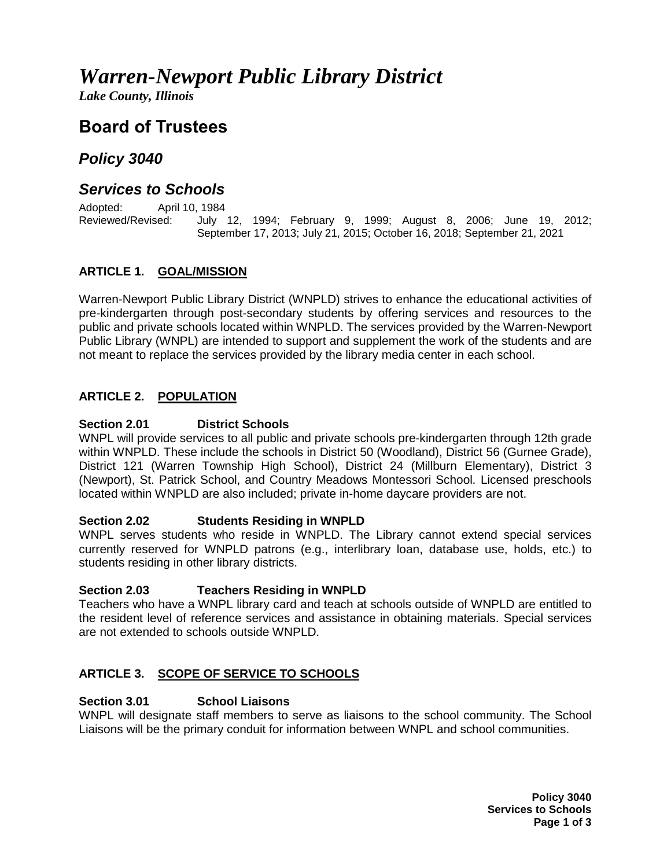# *Warren-Newport Public Library District*

*Lake County, Illinois*

# **Board of Trustees**

## *Policy 3040*

### *Services to Schools*

Adopted: April 10, 1984 Reviewed/Revised: July 12, 1994; February 9, 1999; August 8, 2006; June 19, 2012; September 17, 2013; July 21, 2015; October 16, 2018; September 21, 2021

#### **ARTICLE 1. GOAL/MISSION**

Warren-Newport Public Library District (WNPLD) strives to enhance the educational activities of pre-kindergarten through post-secondary students by offering services and resources to the public and private schools located within WNPLD. The services provided by the Warren-Newport Public Library (WNPL) are intended to support and supplement the work of the students and are not meant to replace the services provided by the library media center in each school.

#### **ARTICLE 2. POPULATION**

#### **Section 2.01 District Schools**

WNPL will provide services to all public and private schools pre-kindergarten through 12th grade within WNPLD. These include the schools in District 50 (Woodland), District 56 (Gurnee Grade), District 121 (Warren Township High School), District 24 (Millburn Elementary), District 3 (Newport), St. Patrick School, and Country Meadows Montessori School. Licensed preschools located within WNPLD are also included; private in-home daycare providers are not.

#### **Section 2.02 Students Residing in WNPLD**

WNPL serves students who reside in WNPLD. The Library cannot extend special services currently reserved for WNPLD patrons (e.g., interlibrary loan, database use, holds, etc.) to students residing in other library districts.

#### **Section 2.03 Teachers Residing in WNPLD**

Teachers who have a WNPL library card and teach at schools outside of WNPLD are entitled to the resident level of reference services and assistance in obtaining materials. Special services are not extended to schools outside WNPLD.

#### **ARTICLE 3. SCOPE OF SERVICE TO SCHOOLS**

#### **Section 3.01 School Liaisons**

WNPL will designate staff members to serve as liaisons to the school community. The School Liaisons will be the primary conduit for information between WNPL and school communities.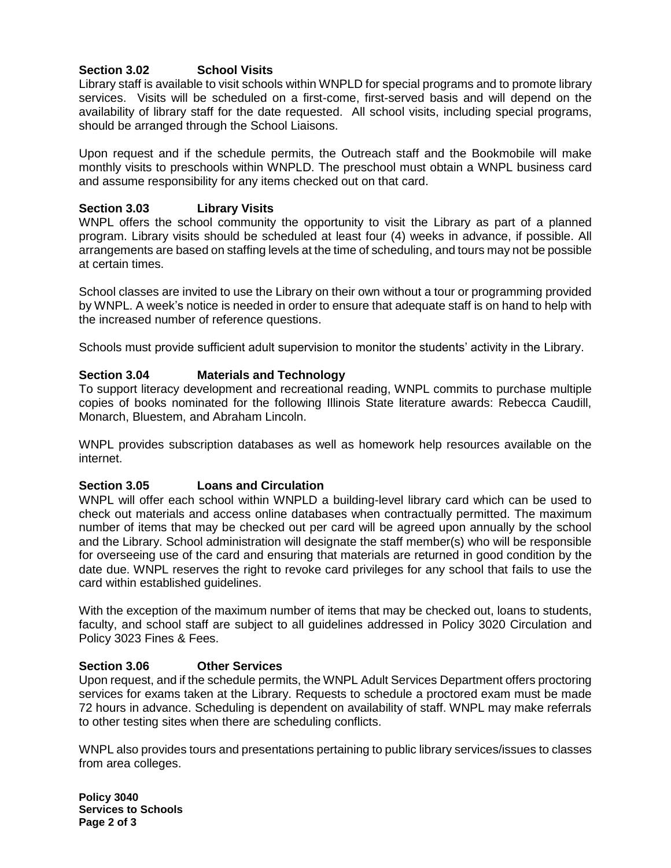#### **Section 3.02 School Visits**

Library staff is available to visit schools within WNPLD for special programs and to promote library services. Visits will be scheduled on a first-come, first-served basis and will depend on the availability of library staff for the date requested. All school visits, including special programs, should be arranged through the School Liaisons.

Upon request and if the schedule permits, the Outreach staff and the Bookmobile will make monthly visits to preschools within WNPLD. The preschool must obtain a WNPL business card and assume responsibility for any items checked out on that card.

#### **Section 3.03 Library Visits**

WNPL offers the school community the opportunity to visit the Library as part of a planned program. Library visits should be scheduled at least four (4) weeks in advance, if possible. All arrangements are based on staffing levels at the time of scheduling, and tours may not be possible at certain times.

School classes are invited to use the Library on their own without a tour or programming provided by WNPL. A week's notice is needed in order to ensure that adequate staff is on hand to help with the increased number of reference questions.

Schools must provide sufficient adult supervision to monitor the students' activity in the Library.

#### **Section 3.04 Materials and Technology**

To support literacy development and recreational reading, WNPL commits to purchase multiple copies of books nominated for the following Illinois State literature awards: Rebecca Caudill, Monarch, Bluestem, and Abraham Lincoln.

WNPL provides subscription databases as well as homework help resources available on the internet.

#### **Section 3.05 Loans and Circulation**

WNPL will offer each school within WNPLD a building-level library card which can be used to check out materials and access online databases when contractually permitted. The maximum number of items that may be checked out per card will be agreed upon annually by the school and the Library. School administration will designate the staff member(s) who will be responsible for overseeing use of the card and ensuring that materials are returned in good condition by the date due. WNPL reserves the right to revoke card privileges for any school that fails to use the card within established guidelines.

With the exception of the maximum number of items that may be checked out, loans to students, faculty, and school staff are subject to all guidelines addressed in Policy 3020 Circulation and Policy 3023 Fines & Fees.

#### **Section 3.06 Other Services**

Upon request, and if the schedule permits, the WNPL Adult Services Department offers proctoring services for exams taken at the Library. Requests to schedule a proctored exam must be made 72 hours in advance. Scheduling is dependent on availability of staff. WNPL may make referrals to other testing sites when there are scheduling conflicts.

WNPL also provides tours and presentations pertaining to public library services/issues to classes from area colleges.

**Policy 3040 Services to Schools Page 2 of 3**